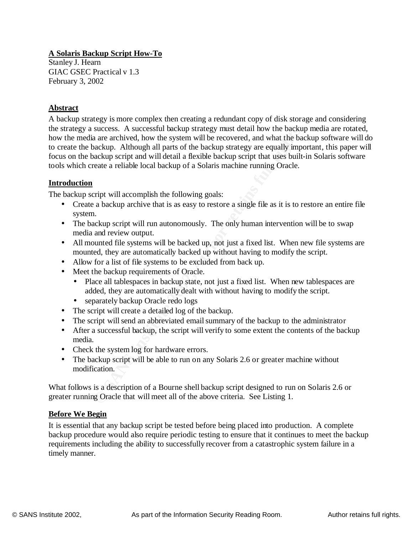# **A Solaris Backup Script How-To**

Stanley J. Hearn GIAC GSEC Practical v 1.3 February 3, 2002

### **Abstract**

success. A successtill tackup strategy must deal how the backup<br>a are archived, how the system will be recovered, and what the baac<br>ackup. Although all parts of the backup strategy are equally impore<br>kup script and will de tools which create a reliable local backup of a Solaris machine running Oracle. A backup strategy is more complex then creating a redundant copy of disk storage and considering the strategy a success. A successful backup strategy must detail how the backup media are rotated, how the media are archived, how the system will be recovered, and what the backup software will do to create the backup. Although all parts of the backup strategy are equally important, this paper will focus on the backup script and will detail a flexible backup script that uses built-in Solaris software

#### **Introduction**

The backup script will accomplish the following goals:

- Create a backup archive that is as easy to restore a single file as it is to restore an entire file system.
- The backup script will run autonomously. The only human intervention will be to swap media and review output.
- All mounted file systems will be backed up, not just a fixed list. When new file systems are mounted, they are automatically backed up without having to modify the script.
- Allow for a list of file systems to be excluded from back up.
- Meet the backup requirements of Oracle.
	- Place all tablespaces in backup state, not just a fixed list. When new tablespaces are added, they are automatically dealt with without having to modify the script.
	- separately backup Oracle redo logs
- The script will create a detailed log of the backup.
- The script will send an abbreviated email summary of the backup to the administrator
- After a successful backup, the script will verify to some extent the contents of the backup media.
- Check the system log for hardware errors.
- The backup script will be able to run on any Solaris 2.6 or greater machine without modification.

What follows is a description of a Bourne shell backup script designed to run on Solaris 2.6 or greater running Oracle that will meet all of the above criteria. See Listing 1.

### **Before We Begin**

requirements including the ability to successfully recover from a catastrophic system failure in a It is essential that any backup script be tested before being placed into production. A complete backup procedure would also require periodic testing to ensure that it continues to meet the backup timely manner.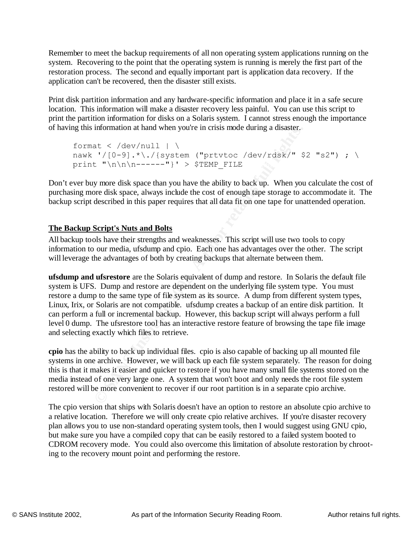Remember to meet the backup requirements of all non operating system applications running on the system. Recovering to the point that the operating system is running is merely the first part of the restoration process. The second and equally important part is application data recovery. If the application can't be recovered, then the disaster still exists.

Print disk partition information and any hardware-specific information and place it in a safe secure location. This information will make a disaster recovery less painful. You can use this script to print the partition information for disks on a Solaris system. I cannot stress enough the importance of having this information at hand when you're in crisis mode during a disaster.

```
print "\\n\\n-----"' > $TEMP_FILE
  format \langle /dev/null \vert \
  nawk '/[0-9].*\./{system ("prtvtoc /dev/rdsk/" $2 "s2") ; \
```
Don't ever buy more disk space than you have the ability to back up. When you calculate the cost of purchasing more disk space, always include the cost of enough tape storage to accommodate it. The backup script described in this paper requires that all data fit on one tape for unattended operation.

# **The Backup Script's Nuts and Bolts**

All backup tools have their strengths and weaknesses. This script will use two tools to copy information to our media, ufsdump and cpio. Each one has advantages over the other. The script will leverage the advantages of both by creating backups that alternate between them.

mormation at nanti when youre in crisis mode during a disaster.<br>  $\frac{1}{2}$ ,  $\frac{1}{2}$ ,  $\frac{1}{2}$ ,  $\frac{1}{2}$ ,  $\frac{1}{2}$ ,  $\frac{1}{2}$ ,  $\frac{1}{2}$ ,  $\frac{1}{2}$ ,  $\frac{1}{2}$ ,  $\frac{1}{2}$ ,  $\frac{1}{2}$ ,  $\frac{1}{2}$ ,  $\frac{1}{2}$ ,  $\frac{1}{2}$ ,  $\frac$ **ufsdump and ufsrestore** are the Solaris equivalent of dump and restore. In Solaris the default file system is UFS. Dump and restore are dependent on the underlying file system type. You must restore a dump to the same type of file system as its source. A dump from different system types, Linux, Irix, or Solaris are not compatible. ufsdump creates a backup of an entire disk partition. It can perform a full or incremental backup. However, this backup script will always perform a full level 0 dump. The ufsrestore tool has an interactive restore feature of browsing the tape file image and selecting exactly which files to retrieve.

**cpio** has the ability to back up individual files. cpio is also capable of backing up all mounted file systems in one archive. However, we will back up each file system separately. The reason for doing this is that it makes it easier and quicker to restore if you have many small file systems stored on the media instead of one very large one. A system that won't boot and only needs the root file system restored will be more convenient to recover if our root partition is in a separate cpio archive.

CDROM recovery mode. You could also overcome this limitation of absolute restoration by chroot-The cpio version that ships with Solaris doesn't have an option to restore an absolute cpio archive to a relative location. Therefore we will only create cpio relative archives. If you're disaster recovery plan allows you to use non-standard operating system tools, then I would suggest using GNU cpio, but make sure you have a compiled copy that can be easily restored to a failed system booted to ing to the recovery mount point and performing the restore.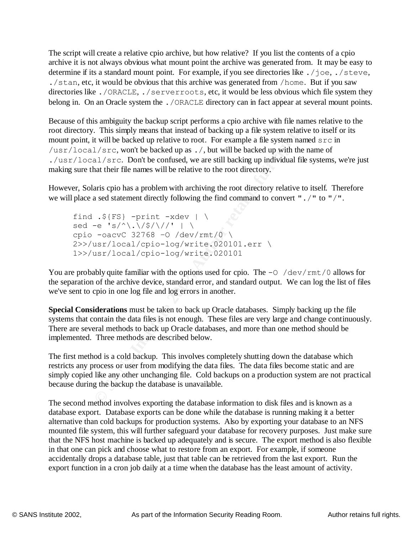The script will create a relative cpio archive, but how relative? If you list the contents of a cpio archive it is not always obvious what mount point the archive was generated from. It may be easy to determine if its a standard mount point. For example, if you see directories like . /joe, . /steve, ./stan, etc, it would be obvious that this archive was generated from /home. But if you saw directories like ./ORACLE, ./serverroots, etc, it would be less obvious which file system they belong in. On an Oracle system the . / ORACLE directory can in fact appear at several mount points.

This simply means that instead of backing up a file system relativity lib backed up relative to root. For example a file system near  $1/\text{src}$ , won't be backed up as ./, but will be backed up with the  $1/\text{src}$ . Don't be co AF19 FR94 PEC BOAT SECTED FOR THE COMMISSION, WE ALLE SIMPORE SIMPLE THE STANDARD FILE STARS. Because of this ambiguity the backup script performs a cpio archive with file names relative to the root directory. This simply means that instead of backing up a file system relative to itself or its mount point, it will be backed up relative to root. For example a file system named src in /usr/local/src, won't be backed up as ./, but will be backed up with the name of ./usr/local/src. Don't be confused, we are still backing up individual file systems, we're just

However, Solaris cpio has a problem with archiving the root directory relative to itself. Therefore we will place a sed statement directly following the find command to convert "./" to "/".

find  $.\$   $\{FS\}$  -print -xdev | \ sed -e 's/^\.\/\$/\//' | \ cpio -oacvC 32768 –O /dev/rmt/0 \ 2>>/usr/local/cpio-log/write.020101.err \ 1>>/usr/local/cpio-log/write.020101

You are probably quite familiar with the options used for cpio. The  $-0$  /dev/rmt/0 allows for the separation of the archive device, standard error, and standard output. We can log the list of files we've sent to cpio in one log file and log errors in another.

**Special Considerations** must be taken to back up Oracle databases. Simply backing up the file systems that contain the data files is not enough. These files are very large and change continuously. There are several methods to back up Oracle databases, and more than one method should be implemented. Three methods are described below.

The first method is a cold backup. This involves completely shutting down the database which restricts any process or user from modifying the data files. The data files become static and are simply copied like any other unchanging file. Cold backups on a production system are not practical because during the backup the database is unavailable.

that the INFS flost final line is backed up adequately and is secure. The export filemed is an in that one can pick and choose what to restore from an export. For example, if someone The second method involves exporting the database information to disk files and is known as a database export. Database exports can be done while the database is running making it a better alternative than cold backups for production systems. Also by exporting your database to an NFS mounted file system, this will further safeguard your database for recovery purposes. Just make sure that the NFS host machine is backed up adequately and is secure. The export method is also flexible accidentally drops a database table, just that table can be retrieved from the last export. Run the export function in a cron job daily at a time when the database has the least amount of activity.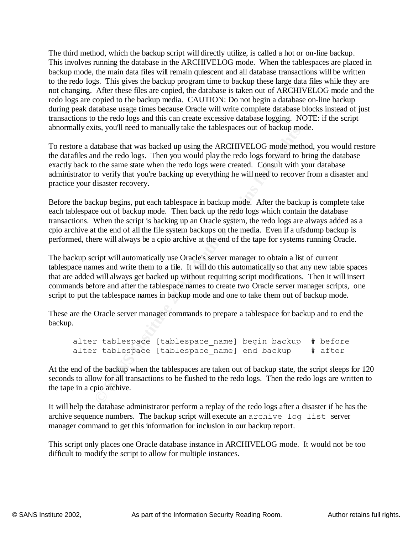The third method, which the backup script will directly utilize, is called a hot or on-line backup. This involves running the database in the ARCHIVELOG mode. When the tablespaces are placed in backup mode, the main data files will remain quiescent and all database transactions will be written to the redo logs. This gives the backup program time to backup these large data files while they are not changing. After these files are copied, the database is taken out of ARCHIVELOG mode and the redo logs are copied to the backup media. CAUTION: Do not begin a database on-line backup during peak database usage times because Oracle will write complete database blocks instead of just transactions to the redo logs and this can create excessive database logging. NOTE: if the script abnormally exits, you'll need to manually take the tablespaces out of backup mode.

exactly back to the same state when the redo logs were created. Consult with your database To restore a database that was backed up using the ARCHIVELOG mode method, you would restore the datafiles and the redo logs. Then you would play the redo logs forward to bring the database administrator to verify that you're backing up everything he will need to recover from a disaster and practice your disaster recovery.

Before the backup begins, put each tablespace in backup mode. After the backup is complete take each tablespace out of backup mode. Then back up the redo logs which contain the database transactions. When the script is backing up an Oracle system, the redo logs are always added as a cpio archive at the end of all the file system backups on the media. Even if a ufsdump backup is performed, there will always be a cpio archive at the end of the tape for systems running Oracle.

Its, you in heed to manuality take the tablespaces out of backup mode<br>hadabase that was backed up using the ARCHIVELOG mode method the redo logs. Then you would play the redo boys forward to be same state when the redo log The backup script will automatically use Oracle's server manager to obtain a list of current tablespace names and write them to a file. It will do this automatically so that any new table spaces that are added will always get backed up without requiring script modifications. Then it will insert commands before and after the tablespace names to create two Oracle server manager scripts, one script to put the tablespace names in backup mode and one to take them out of backup mode.

These are the Oracle server manager commands to prepare a tablespace for backup and to end the backup.

```
alter tablespace [tablespace_name] begin backup # before
alter tablespace [tablespace name] end backup # after
```
At the end of the backup when the tablespaces are taken out of backup state, the script sleeps for 120 seconds to allow for all transactions to be flushed to the redo logs. Then the redo logs are written to the tape in a cpio archive.

It will help the database administrator perform a replay of the redo logs after a disaster if he has the archive sequence numbers. The backup script will execute an archive log list server manager command to get this information for inclusion in our backup report.

This script only places one Oracle database instance in ARCHIVELOG mode. It would not be too difficult to modify the script to allow for multiple instances.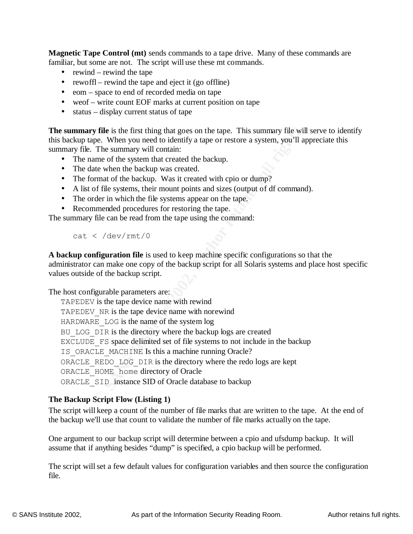**Magnetic Tape Control (mt)** sends commands to a tape drive. Many of these commands are familiar, but some are not. The script will use these mt commands.

- rewind rewind the tape
- rewoffl rewind the tape and eject it (go offline)
- eom space to end of recorded media on tape
- weof write count EOF marks at current position on tape
- status display current status of tape

**The summary file** is the first thing that goes on the tape. This summary file will serve to identify this backup tape. When you need to identify a tape or restore a system, you'll appreciate this summary file. The summary will contain:

- The name of the system that created the backup.
- The date when the backup was created.
- The format of the backup. Was it created with cpio or dump?
- A list of file systems, their mount points and sizes (output of df command).
- The order in which the file systems appear on the tape.
- Recommended procedures for restoring the tape.

The summary file can be read from the tape using the command:

cat < /dev/rmt/0

**A backup configuration file** is used to keep machine specific configurations so that the administrator can make one copy of the backup script for all Solaris systems and place host specific values outside of the backup script.

The host configurable parameters are:

**y file** is the first thing that goes on the tape. This summary file will compe. When you need to identify a tape or restore a system, you'll a The summary will contain:<br>The summary will contain:<br>the when the backup. was i TAPEDEV is the tape device name with rewind TAPEDEV NR is the tape device name with norewind HARDWARE LOG is the name of the system log BU LOG DIR is the directory where the backup logs are created EXCLUDE FS space delimited set of file systems to not include in the backup IS ORACLE MACHINE Is this a machine running Oracle? ORACLE\_REDO\_LOG\_DIR is the directory where the redo logs are kept ORACLE\_HOME home directory of Oracle ORACLE SID instance SID of Oracle database to backup

### **The Backup Script Flow (Listing 1)**

The script will keep a count of the number of file marks that are written to the tape. At the end of the backup we'll use that count to validate the number of file marks actually on the tape.

assume that if anything besides "dump" is specified, a cpio backup will be performed. One argument to our backup script will determine between a cpio and ufsdump backup. It will

The script will set a few default values for configuration variables and then source the configuration file.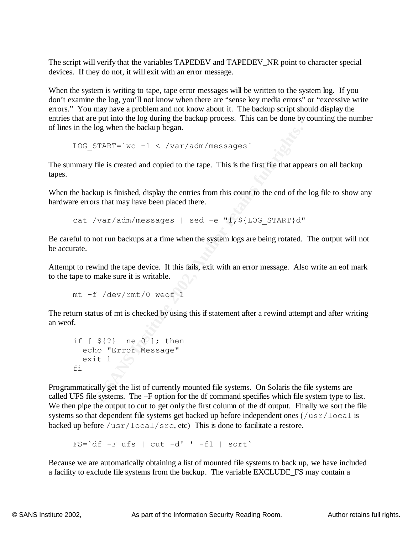The script will verify that the variables TAPEDEV and TAPEDEV\_NR point to character special devices. If they do not, it will exit with an error message.

When the system is writing to tape, tape error messages will be written to the system log. If you don't examine the log, you'll not know when there are "sense key media errors" or "excessive write errors." You may have a problem and not know about it. The backup script should display the entries that are put into the log during the backup process. This can be done by counting the number of lines in the log when the backup began.

LOG START=`wc  $-1 <$  /var/adm/messages`

The summary file is created and copied to the tape. This is the first file that appears on all backup tapes.

When the backup is finished, display the entries from this count to the end of the log file to show any hardware errors that may have been placed there.

cat /var/adm/messages | sed -e "1, \$ {LOG START}d"

Be careful to not run backups at a time when the system logs are being rotated. The output will not be accurate.

Attempt to rewind the tape device. If this fails, exit with an error message. Also write an eof mark to the tape to make sure it is writable.

mt –f /dev/rmt/0 weof 1

The return status of mt is checked by using this if statement after a rewind attempt and after writing an weof.

```
if [ ${?} –ne 0 ]; then
  echo "Error Message"
 exit 1\qquad)f_1
```
**ETART=** `wc -1 < /var/adm/messages `<br>
file is created and copied to the tape. This is the first file that appear<br>
file is created and copied to the tape. This is the first file that appear<br>
kup is finished, display the en Programmatically get the list of currently mounted file systems. On Solaris the file systems are called UFS file systems. The –F option for the df command specifies which file system type to list. We then pipe the output to cut to get only the first column of the df output. Finally we sort the file systems so that dependent file systems get backed up before independent ones ( $/\text{usr}/\text{local}$  is backed up before  $/\text{usr}/\text{local}/\text{src}$ , etc) This is done to facilitate a restore.

 $FS='df -F ufs$  | cut  $-d'$  '  $-f1$  | sort`

Because we are automatically obtaining a list of mounted file systems to back up, we have included a facility to exclude file systems from the backup. The variable EXCLUDE\_FS may contain a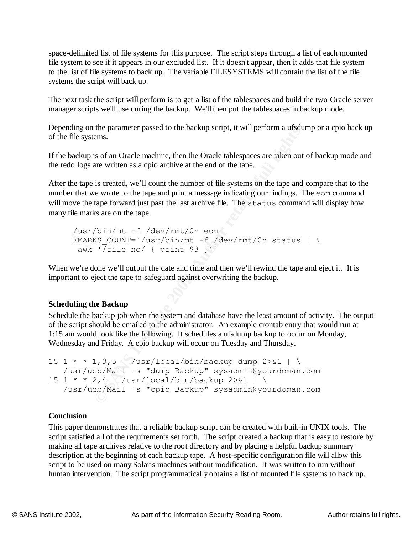space-delimited list of file systems for this purpose. The script steps through a list of each mounted file system to see if it appears in our excluded list. If it doesn't appear, then it adds that file system to the list of file systems to back up. The variable FILESYSTEMS will contain the list of the file systems the script will back up.

The next task the script will perform is to get a list of the tablespaces and build the two Oracle server manager scripts we'll use during the backup. We'll then put the tablespaces in backup mode.

Depending on the parameter passed to the backup script, it will perform a ufsdump or a cpio back up of the file systems.

the redo logs are written as a cpio archive at the end of the tape. If the backup is of an Oracle machine, then the Oracle tablespaces are taken out of backup mode and

After the tape is created, we'll count the number of file systems on the tape and compare that to the number that we wrote to the tape and print a message indicating our findings. The eom command will move the tape forward just past the last archive file. The status command will display how many file marks are on the tape.

/usr/bin/mt -f /dev/rmt/0n eom FMARKS COUNT=`/usr/bin/mt -f /dev/rmt/0n status | \ awk '/file no/ { print  $$3$  }'

When we're done we'll output the date and time and then we'll rewind the tape and eject it. It is important to eject the tape to safeguard against overwriting the backup.

### **Scheduling the Backup**

Schedule the backup job when the system and database have the least amount of activity. The output of the script should be emailed to the administrator. An example crontab entry that would run at 1:15 am would look like the following. It schedules a ufsdump backup to occur on Monday, Wednesday and Friday. A cpio backup will occur on Tuesday and Thursday.

```
me parameter passed to the backup script, it will perform a usau<br>
ems.<br>
Sis of an Oracle machine, then the Oracle tablespaces are taken out<br>
are written as a cpio archive at the end of the tape.<br>
Si created, we'll count th
15 1 * * 1,3,5 /usr/local/bin/backup dump 2 > 1 | \
      /usr/ucb/Mail –s "dump Backup" sysadmin@yourdoman.com
15 \t1 \t\t* 2.4 \t/usr/local/bin/backup 2>&1 \t\cdot \cdot /usr/ucb/Mail –s "cpio Backup" sysadmin@yourdoman.com
```
### **Conclusion**

making all tape archives relative to the root directory and by placing a helpful backup summary This paper demonstrates that a reliable backup script can be created with built-in UNIX tools. The script satisfied all of the requirements set forth. The script created a backup that is easy to restore by description at the beginning of each backup tape. A host-specific configuration file will allow this script to be used on many Solaris machines without modification. It was written to run without human intervention. The script programmatically obtains a list of mounted file systems to back up.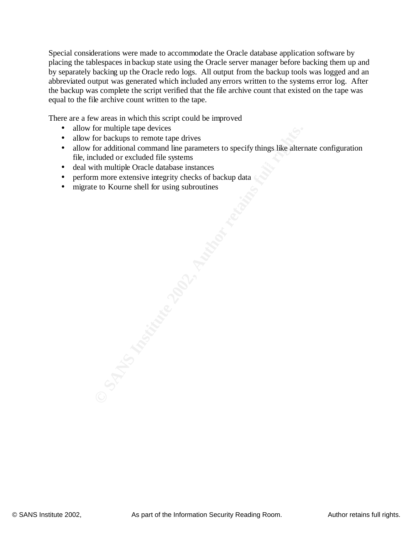Special considerations were made to accommodate the Oracle database application software by placing the tablespaces in backup state using the Oracle server manager before backing them up and by separately backing up the Oracle redo logs. All output from the backup tools was logged and an abbreviated output was generated which included any errors written to the systems error log. After the backup was complete the script verified that the file archive count that existed on the tape was equal to the file archive count written to the tape.

There are a few areas in which this script could be improved

- allow for multiple tape devices
- allow for backups to remote tape drives
- For multiple tape devices<br>
for backups to remote tape drives<br>
for additional command line parameters to specify things like altern<br>
cluded or excluded file systems<br>
im more extensive integrity checks of backup data<br>
e to K • allow for additional command line parameters to specify things like alternate configuration file, included or excluded file systems
- deal with multiple Oracle database instances
- perform more extensive integrity checks of backup data
- migrate to Kourne shell for using subroutines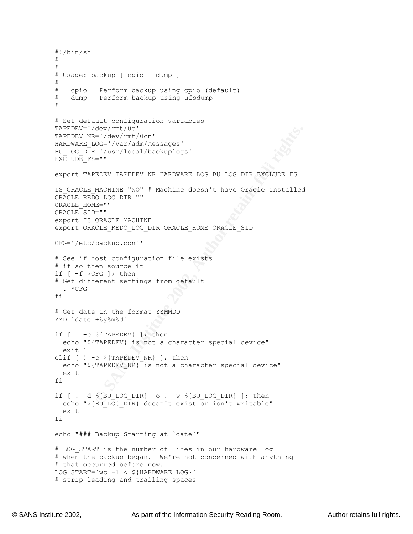```
Cav/rmt/Oc'<br>
Cav/rmt/Ocn'<br>
2C='/dev/rmt/Ocn'<br>
2C='/dev/rmt/Ocn'<br>
2C='/dev/rmt/Ocal/backuplogs'<br>
P="<br>
P="<br>
PEDEV TAPEDEV NR HARDWARE_IOG BU_LOG_DIR EXCLUDE_FS<br>
DRACIE MACHINE<br>
DELT"<br>
2CLE_REDO_LOG_DIR ORACLE_HOME ORACLE_SID
  K_{\rm eff} = 1 final principal \sim 25 affects by \sim 25 and \sim 25# LOG START is the number of lines in our hardware log
#!/bin/sh
#
#
# Usage: backup [ cpio | dump ]
#
# cpio Perform backup using cpio (default)
# dump Perform backup using ufsdump
#
# Set default configuration variables
TAPEDEV='/dev/rmt/0c'
TAPEDEV_NR='/dev/rmt/0cn'
HARDWARE_LOG='/var/adm/messages'
BU_LOG_DIR='/usr/local/backuplogs'
EXCLUDE FS=""
export TAPEDEV TAPEDEV_NR HARDWARE_LOG BU_LOG_DIR EXCLUDE_FS
IS ORACLE MACHINE="NO" # Machine doesn't have Oracle installed
ORACLE_REDO_LOG_DIR=""
ORACLE HOME=""
ORACLE_SID=""
export IS ORACLE MACHINE
export ORACLE_REDO_LOG_DIR ORACLE_HOME ORACLE_SID
CFG='/etc/backup.conf'
# See if host configuration file exists
# if so then source it
if [ -f $CFG ]; then
# Get different settings from default
   . $CFG
f_i# Get date in the format YYMMDD
YMD=`date +%y%m%d`
if [ ! -c ${TAPEDEV} ]; then
   echo "${TAPEDEV} is not a character special device"
   exit 1
elif \lceil ! -c ${TAPEDEV NR} ]; then
  echo "${TAPEDEV_NR} is not a character special device"
   exit 1
fi
if [ ! -d ${BU LOG DIR} -o ! -w ${BU LOG DIR} ]; then
  echo "${BU_LOG_DIR} doesn't exist or isn't writable"
   exit 1
fi
echo "### Backup Starting at `date`"
# when the backup began. We're not concerned with anything
# that occurred before now.
LOG START=`wc -1 < ${HARDWARE LOG}# strip leading and trailing spaces
```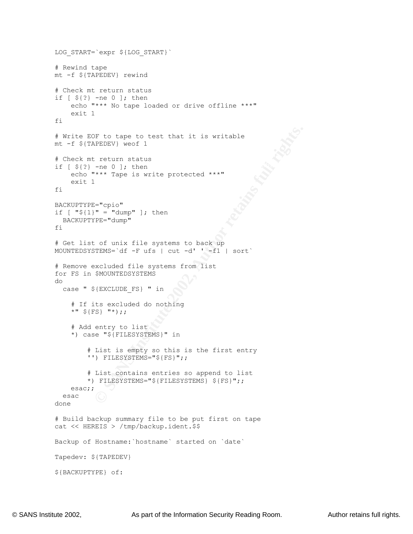```
OF to tape to test that it is writable<br>
PEDEV) weef 1<br>
\begin{bmatrix} -\text{ne} & 0 \end{bmatrix}; then<br>
\begin{bmatrix} -\text{ne} & 0 \end{bmatrix}; then<br>
\begin{bmatrix} 2\text{e}^{\text{u}} & \text{10} & \text{10} \\ 0 & \text{10} & \text{10} \end{bmatrix}<br>
\begin{bmatrix} 2\text{e}^{\text{u}} & \text{10} & \text{10} \\ 0 & \text{if [ ${?} -ne 0 ]; then
Backup of Hostname:`hostname` started on `date`
LOG_START=`expr ${LOG_START}`
# Rewind tape
mt -f ${TAPEDEV} rewind
# Check mt return status
if [ ${?} -ne 0 ]; then
     echo "*** No tape loaded or drive offline ***"
     exit 1
fi
# Write EOF to tape to test that it is writable
mt -f ${TAPEDEV} weof 1
# Check mt return status
      echo "*** Tape is write protected ***"
     exit 1
fi
BACKUPTYPE="cpio"
if [ "${1}" = "dump" ]; then
  BACKUPTYPE="dump"
fi
# Get list of unix file systems to back up
MOUNTEDSYSTEMS=`df -F ufs | cut -d' ' -f1 | sort`
# Remove excluded file systems from list
for FS in $MOUNTEDSYSTEMS
do
  case " ${EXCLUDE FS} " in
     # If its excluded do nothing
     *" ${FS} "*);;
      # Add entry to list
      *) case "${FILESYSTEMS}" in
           # List is empty so this is the first entry 
           '') FILESYSTEMS="${FS}";;
           # List contains entries so append to list
           *) FILESYSTEMS="${FILESYSTEMS} ${FS}";;
    esac;;
   esac
done
# Build backup summary file to be put first on tape
cat << HEREIS > /tmp/backup.ident.$$
Tapedev: ${TAPEDEV}
${BACKUPTYPE} of:
```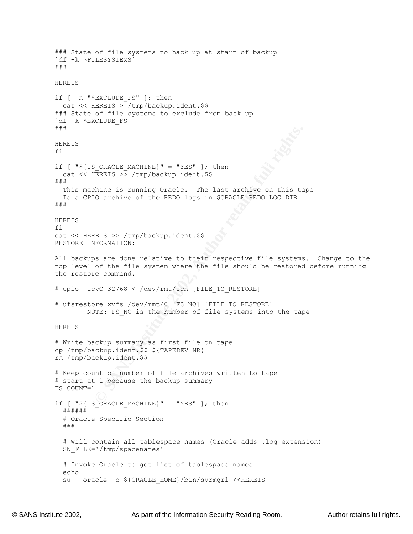**EXANCIE MACHINE)" = "YES" ]; then**<br> **ERRIS** >> /tmp/backup.ident.\$\$<br>
thine is running Oracle. The last archive on this ta<br>
CO archive of the REDO logs in SORACLE\_REDO\_LOG\_DIR<br>
REIS >> /tmp/backup.ident.\$\$<br>
RETS >> /tmp/ba if [ " $$$  [IS ORACLE MACHINE}" = "YES" ]; then # Will contain all tablespace names (Oracle adds .log extension) ### State of file systems to back up at start of backup `df -k \$FILESYSTEMS` ### HEREIS if [ -n "\$EXCLUDE FS" ]; then cat << HEREIS > /tmp/backup.ident.\$\$ ### State of file systems to exclude from back up `df -k \$EXCLUDE\_FS` ### HEREIS fi cat << HEREIS >> /tmp/backup.ident.\$\$ ### This machine is running Oracle. The last archive on this tape Is a CPIO archive of the REDO logs in \$ORACLE REDO LOG DIR ### HEREIS fi cat << HEREIS >> /tmp/backup.ident.\$\$ RESTORE INFORMATION: All backups are done relative to their respective file systems. Change to the top level of the file system where the file should be restored before running the restore command. # cpio -icvC 32768 < /dev/rmt/0cn [FILE\_TO\_RESTORE] # ufsrestore xvfs /dev/rmt/0 [FS\_NO] [FILE\_TO\_RESTORE] NOTE: FS NO is the number of file systems into the tape HEREIS # Write backup summary as first file on tape cp /tmp/backup.ident.\$\$ \${TAPEDEV\_NR} rm /tmp/backup.ident.\$\$ # Keep count of number of file archives written to tape # start at 1 because the backup summary FS\_COUNT=1 if  $[$  " $\S$ {IS ORACLE MACHINE}" = "YES" ]; then ###### # Oracle Specific Section ### SN\_FILE='/tmp/spacenames' # Invoke Oracle to get list of tablespace names echo su - oracle -c \${ORACLE HOME}/bin/svrmgrl <<HEREIS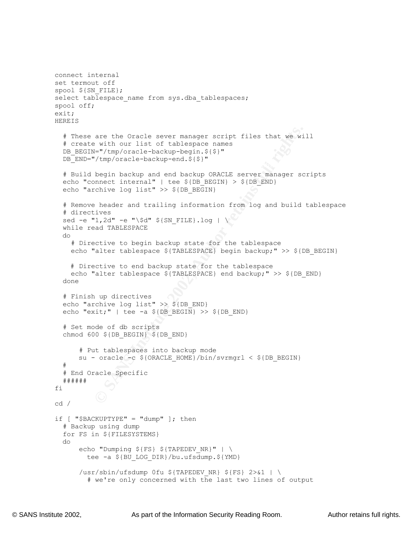```
are the Oracle sever manager script files that we wi<br>
with our list of tablespace names<br>
"I" (tmp/oracle-backup-begin.$($)"<br>
"I" (tmp/oracle-backup-begin.$($)"<br>
begin backup and end backup ORACLE server manager sc<br>
nonect 
  \mathcal{L} = \mathcal{L} \mathcal{L} \mathcal{L} \mathcal{L} \mathcal{L} \mathcal{L} \mathcal{L} \mathcal{L} \mathcal{L} \mathcal{L} \mathcal{L} \mathcal{L} \mathcal{L} \mathcal{L} \mathcal{L} \mathcal{L} \mathcal{L} \mathcal{L} \mathcal{L} \mathcal{L} \mathcal{L} \mathcal{L} \mathcal{L} \mathcal{L} \mathcal{L} \mathcal{L} \mathcal{L} \mathcal{L} \mathcal{L} \mathcal{L} \mathcal{L} \mathcal{L} \mathcal{L} \mathcal{L} \mathcal{L} \mathcaldo<br>echo "Dumping ${FS} ${TAPEDEV_NR}" | \
connect internal
set termout off
spool ${SN FILE};
select tablespace name from sys.dba tablespaces;
spool off;
exit;
HEREIS
    # These are the Oracle sever manager script files that we will
    # create with our list of tablespace names
  DB_BEGIN="/tmp/oracle-backup-begin. ${$}"
   DB_END="/tmp/oracle-backup-end.${$}"
    # Build begin backup and end backup ORACLE server manager scripts
  echo "connect internal" | tee ${DB BEGIN} > ${DB END}
  echo "archive log list" >> ${DB BEGIN}
   # Remove header and trailing information from log and build tablespace
    # directives
  sed -e "1,2d" -e "\$d" ${SN FILE}.log | \
   while read TABLESPACE
   do
      # Directive to begin backup state for the tablespace
      echo "alter tablespace ${TABLESPACE} begin backup;" >> ${DB_BEGIN}
      # Directive to end backup state for the tablespace
     echo "alter tablespace ${TABLESPACE} end backup;" >> ${DB END}
   done
    # Finish up directives
  echo "archive log list" >> ${DB END}
  echo "exit;" | tee -a $ {DB} BEGIN} >> $ {DB} END}
    # Set mode of db scripts 
  chmod 600 ${DB BEGIN} ${DB END}
         # Put tablespaces into backup mode
        su - oracle -c ${ORACLE HOME}/bin/svrmgrl < ${DB BEGIN}
    #
    # End Oracle Specific
   ######
fi
cd /
if \lceil "$BACKUPTYPE" = "dump" ]; then
    # Backup using dump
   for FS in ${FILESYSTEMS}
   do
           tee -a ${BU LOG DIR}/bu.ufsdump.${YMD}
        /usr/sbin/ufsdump 0fu ${TAPEDEV_NR} ${FS} 2>&1 | \
            # we're only concerned with the last two lines of output
```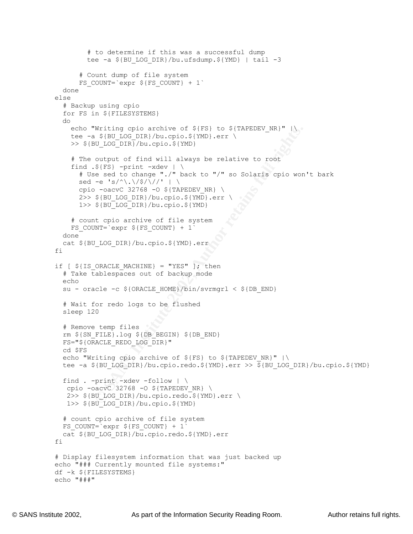```
Whitling Cplo archive of $(FS) to $(TAPEDEV_NR)"<br>
SANS IDOG_DIR)/bu.cpio.$(YMD).err \<br>
SU_LOG_DIR)/bu.cpio.$(YMD).err \<br>
SU_LOG_DIR)/bu.cpio.$(YMD).err \<br>
20_LOG_DIR)/bu.cpio.$(YMD).err \<br>
essed to change "./" back to "/" 
find .${FS} -print -xdev | \
  \mathbf{F}_{\mathbf{r}} final \mathbf{F}_{\mathbf{r}} final \mathbf{F}_{\mathbf{r}} and \mathbf{F}_{\mathbf{r}} because \mathbf{F}_{\mathbf{r}} # to determine if this was a successful dump
         tee -a ${BU LOG DIR}/bu.ufsdump.${YMD} | tail -3
        # Count dump of file system
       FS COUNT=`expr ${FS COUNT} + 1`
   done
else
   # Backup using cpio 
   for FS in ${FILESYSTEMS}
   do
    echo "Writing cpio archive of ${FS} to ${TAPEDEV NR}" |\
    tee -a ${BU LOG DIR}/bu.cpio.${YMD}.err \
     >> ${BU_LOG_DIR}/bu.cpio.${YMD}
     # The output of find will always be relative to root
        # Use sed to change "./" back to "/" so Solaris cpio won't bark
      sed -e 's/^\.\/$/\//' | \
      cpio -oacvC 32768 -0 ${TAPEDEV NR} \
      2>> ${BU LOG DIR}/bu.cpio.${YMD}.err \
       1>> ${BU_LOG_DIR}/bu.cpio.${YMD}
     # count cpio archive of file system
    FS COUNT=`expr $FS COUNT} + 1`
   done
   cat ${BU_LOG_DIR}/bu.cpio.${YMD}.err
fi
if [ ${IS ORACLE MACHINE} = "YES" ]; then
   # Take tablespaces out of backup mode
   echo
  su - oracle -c ${ORACLE HOME}/bin/svrmgrl < ${DB END} # Wait for redo logs to be flushed
   sleep 120
   # Remove temp files
   rm ${SN_FILE}.log ${DB_BEGIN} ${DB_END}
   FS="${ORACLE_REDO_LOG_DIR}"
   cd $FS
   echo "Writing cpio archive of ${FS} to ${TAPEDEV_NR}" |\
  tee -a ${BU LOG DIR}/bu.cpio.redo.${YMD}.err >> \frac{1}{2}{BU LOG DIR}/bu.cpio.${YMD}
  find . -print -xdev -follow + \ncpio -oacvC 32768 -0 ${TAPEDEV NR} \
    2>> ${BU_LOG_DIR}/bu.cpio.redo.${YMD}.err \
    1>> ${BU_LOG_DIR}/bu.cpio.${YMD}
   # count cpio archive of file system
  FS COUNT=`expr $FS COUNT} + 1`
  cat ${BU LOG DIR}/bu.cpio.redo.${YMD}.err
fi
# Display filesystem information that was just backed up
echo "### Currently mounted file systems:"
df -k ${FILESYSTEMS}
echo "###"
```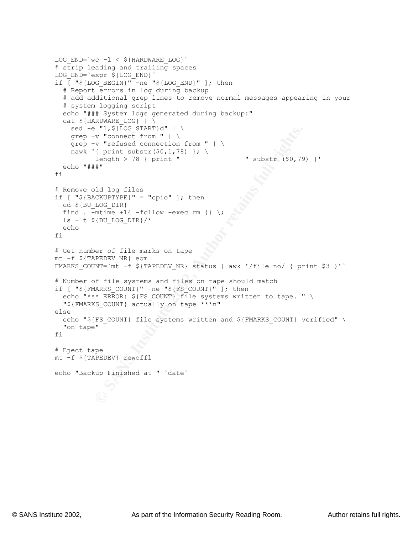```
E ITS INCREMICAT IT (2003)<br>
C The Connect from "| \<br>
C The Connect from "| \<br>
C (print substr($0,1,78) }; \<br>
length > 78 (print " cubstr ($0,79)<br>
length > 78 (print " cubstr ($0,79)<br>
<br>
<br>
LOG_DIR)<br>
The LOG_DIR)<br>
The
\text{echo} "###"
LOG END=`wc -1 < \frac{1}{2}{HARDWARE LOG}`
# strip leading and trailing spaces
LOG_END=`expr ${LOG_END}`
if \overline{[} "${LOG BEGIN}" -ne "${LOG END}" ]; then
   # Report errors in log during backup
   # add additional grep lines to remove normal messages appearing in your
   # system logging script
   echo "### System logs generated during backup:"
  cat ${HRDWARE LOG} | \
    sed -e "1, $[LOG START]d" | \ \ \ \ grep -v "connect from " | \
     grep –v "refused connection from " | \
    nawk '{ print substr($0,1,78) }; \
           length > 78 { print " " substr ($0,79) }'
fi
# Remove old log files
if [ "${BACKUPTYPE}" = "cpio" ]; then
  cd ${BU_LOG_DIR}
  find . -mtime +14 - follow -exec rm {}ls -lt ${BU LOG DIR}/*
   echo 
fi
# Get number of file marks on tape
mt -f ${TAPEDEV_NR} eom
FMARKS COUNT=`mt -f ${TAPEDEV_NR} status | awk '/file no/ { print $3 }'`
# Number of file systems and files on tape should match
if [ "${FMARKS COUNT}" -ne "${FS COUNT}" ]; then
  echo "*** ERROR: ${FS COUNT} file systems written to tape. " \
   "${FMARKS_COUNT} actually on tape ***n"
else
  echo "${FS COUNT} file systems written and ${FMARKS COUNT} verified" \
   "on tape"
fi
# Eject tape
mt -f ${TAPEDEV} rewoffl
echo "Backup Finished at " `date`
```